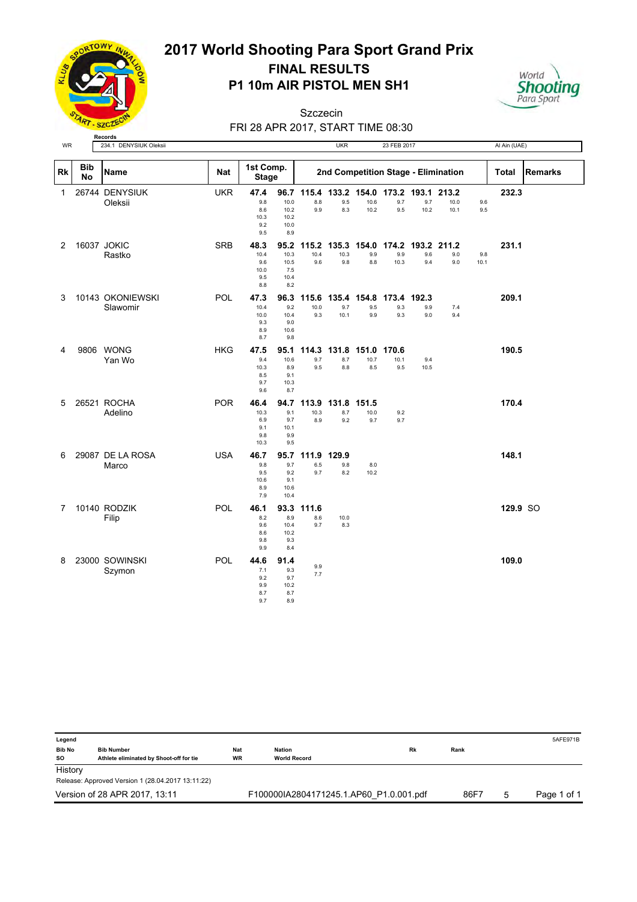

## **P1 10m AIR PISTOL MEN SH1 2017 World Shooting Para Sport Grand Prix FINAL RESULTS**

## World **Shooting**

FRI 28 APR 2017, START TIME 08:30 Szczecin

| WR           |                  | 234.1 DENYSIUK Oleksii       |            |                                           |                                             |                      | UKR                        |                                               | 23 FEB 2017               |             |                                     |             | Al Ain (UAE) |                |
|--------------|------------------|------------------------------|------------|-------------------------------------------|---------------------------------------------|----------------------|----------------------------|-----------------------------------------------|---------------------------|-------------|-------------------------------------|-------------|--------------|----------------|
| Rk           | <b>Bib</b><br>No | Name                         | <b>Nat</b> | 1st Comp.<br><b>Stage</b>                 |                                             |                      |                            |                                               |                           |             | 2nd Competition Stage - Elimination |             | Total        | <b>Remarks</b> |
| $\mathbf{1}$ |                  | 26744 DENYSIUK<br>Oleksii    | <b>UKR</b> | 47.4<br>9.8<br>8.6<br>10.3<br>9.2<br>9.5  | 96.7<br>10.0<br>10.2<br>10.2<br>10.0<br>8.9 | 115.4<br>8.8<br>9.9  | 9.5<br>8.3                 | 133.2 154.0 173.2 193.1 213.2<br>10.6<br>10.2 | 9.7<br>9.5                | 9.7<br>10.2 | 10.0<br>10.1                        | 9.6<br>9.5  | 232.3        |                |
| 2            |                  | 16037 JOKIC<br>Rastko        | <b>SRB</b> | 48.3<br>10.4<br>9.6<br>10.0<br>9.5<br>8.8 | 95.2<br>10.3<br>10.5<br>7.5<br>10.4<br>8.2  | 115.2<br>10.4<br>9.6 | 10.3<br>9.8                | 135.3 154.0<br>9.9<br>8.8                     | 174.2<br>9.9<br>10.3      | 9.6<br>9.4  | 193.2 211.2<br>9.0<br>9.0           | 9.8<br>10.1 | 231.1        |                |
| 3            |                  | 10143 OKONIEWSKI<br>Slawomir | POL        | 47.3<br>10.4<br>10.0<br>9.3<br>8.9<br>8.7 | 96.3<br>9.2<br>10.4<br>9.0<br>10.6<br>9.8   | 115.6<br>10.0<br>9.3 | 135.4 154.8<br>9.7<br>10.1 | 9.5<br>9.9                                    | 173.4 192.3<br>9.3<br>9.3 | 9.9<br>9.0  | 7.4<br>9.4                          |             | 209.1        |                |
| 4            |                  | 9806 WONG<br>Yan Wo          | <b>HKG</b> | 47.5<br>9.4<br>10.3<br>8.5<br>9.7<br>9.6  | 95.1<br>10.6<br>8.9<br>9.1<br>10.3<br>8.7   | 9.7<br>9.5           | 8.7<br>8.8                 | 114.3 131.8 151.0<br>10.7<br>8.5              | 170.6<br>10.1<br>9.5      | 9.4<br>10.5 |                                     |             | 190.5        |                |
| 5            |                  | 26521 ROCHA<br>Adelino       | <b>POR</b> | 46.4<br>10.3<br>6.9<br>9.1<br>9.8<br>10.3 | 94.7<br>9.1<br>9.7<br>10.1<br>9.9<br>9.5    | 113.9<br>10.3<br>8.9 | 131.8<br>8.7<br>9.2        | 151.5<br>10.0<br>9.7                          | 9.2<br>9.7                |             |                                     |             | 170.4        |                |
| 6            |                  | 29087 DE LA ROSA<br>Marco    | <b>USA</b> | 46.7<br>9.8<br>9.5<br>10.6<br>8.9<br>7.9  | 95.7<br>9.7<br>9.2<br>9.1<br>10.6<br>10.4   | 111.9<br>6.5<br>9.7  | 129.9<br>9.8<br>8.2        | 8.0<br>10.2                                   |                           |             |                                     |             | 148.1        |                |
| 7            |                  | 10140 RODZIK<br>Filip        | POL        | 46.1<br>8.2<br>9.6<br>8.6<br>9.8<br>9.9   | 93.3<br>8.9<br>10.4<br>10.2<br>9.3<br>8.4   | 111.6<br>8.6<br>9.7  | 10.0<br>8.3                |                                               |                           |             |                                     |             | 129.9 SO     |                |
| 8            |                  | 23000 SOWINSKI<br>Szymon     | POL        | 44.6<br>7.1<br>9.2<br>9.9<br>8.7<br>9.7   | 91.4<br>9.3<br>9.7<br>10.2<br>8.7<br>8.9    | 9.9<br>7.7           |                            |                                               |                           |             |                                     |             | 109.0        |                |

| Legend              |                                                              |                         |                                                   |      |           | 5AFE971B    |
|---------------------|--------------------------------------------------------------|-------------------------|---------------------------------------------------|------|-----------|-------------|
| <b>Bib No</b><br>so | <b>Bib Number</b><br>Athlete eliminated by Shoot-off for tie | <b>Nat</b><br><b>WR</b> | <b>Rk</b><br><b>Nation</b><br><b>World Record</b> | Rank |           |             |
| History             |                                                              |                         |                                                   |      |           |             |
|                     | Release: Approved Version 1 (28.04.2017 13:11:22)            |                         |                                                   |      |           |             |
|                     | Version of 28 APR 2017, 13:11                                |                         | F100000IA2804171245.1.AP60 P1.0.001.pdf           |      | 86F7<br>5 | Page 1 of 1 |